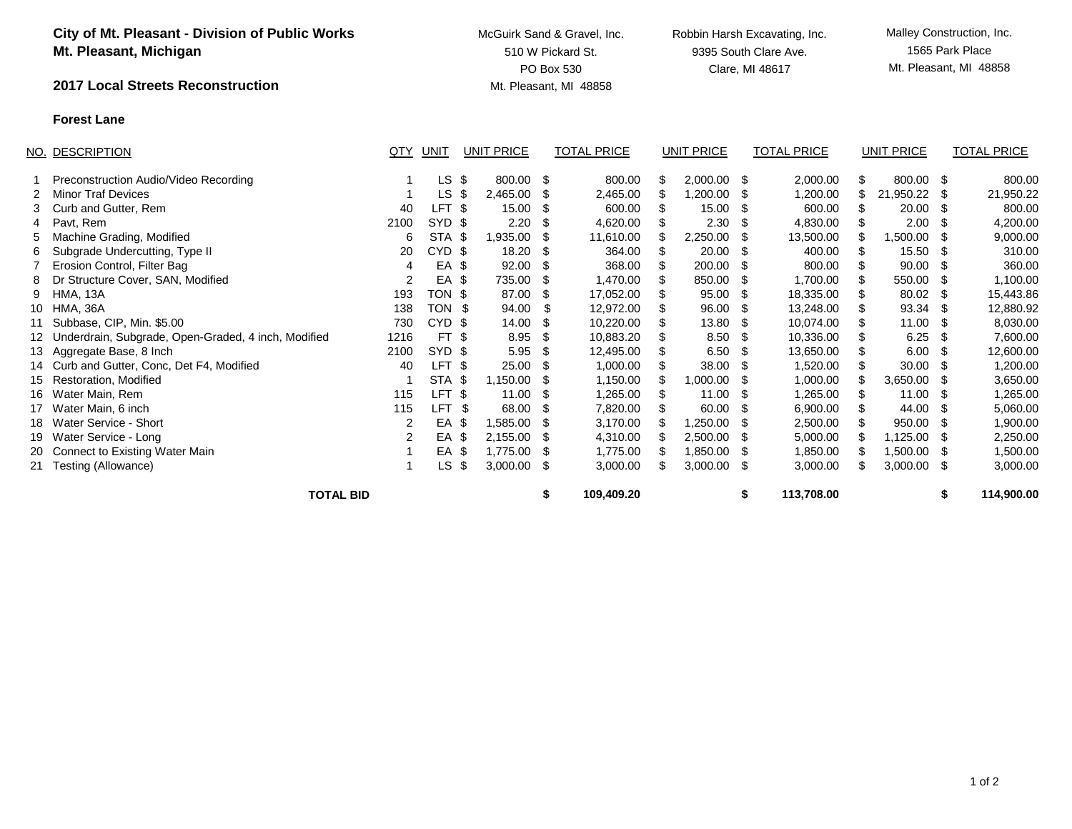|    | <b>City of Mt. Pleasant - Division of Public Works</b><br>Mt. Pleasant, Michigan |      |                   |                   | McGuirk Sand & Gravel, Inc.<br>510 W Pickard St.<br>PO Box 530 |                        |      |                   | Robbin Harsh Excavating, Inc.<br>9395 South Clare Ave.<br>Clare, MI 48617 |                    |    |                   | Malley Construction, Inc.<br>1565 Park Place<br>Mt. Pleasant, MI 48858 |                    |  |  |
|----|----------------------------------------------------------------------------------|------|-------------------|-------------------|----------------------------------------------------------------|------------------------|------|-------------------|---------------------------------------------------------------------------|--------------------|----|-------------------|------------------------------------------------------------------------|--------------------|--|--|
|    | 2017 Local Streets Reconstruction                                                |      |                   |                   |                                                                | Mt. Pleasant, MI 48858 |      |                   |                                                                           |                    |    |                   |                                                                        |                    |  |  |
|    | <b>Forest Lane</b>                                                               |      |                   |                   |                                                                |                        |      |                   |                                                                           |                    |    |                   |                                                                        |                    |  |  |
|    | NO. DESCRIPTION                                                                  | QTY  | UNIT              | <b>UNIT PRICE</b> |                                                                | <b>TOTAL PRICE</b>     |      | <b>UNIT PRICE</b> |                                                                           | <b>TOTAL PRICE</b> |    | <b>UNIT PRICE</b> |                                                                        | <b>TOTAL PRICE</b> |  |  |
|    | Preconstruction Audio/Video Recording                                            |      | $LS$ \$           | 800.00            | \$                                                             | 800.00                 | \$.  | $2,000.00$ \$     |                                                                           | 2,000.00           | \$ | 800.00            | -\$                                                                    | 800.00             |  |  |
| 2  | <b>Minor Traf Devices</b>                                                        |      | <b>LS</b>         | \$<br>2,465.00    | S                                                              | 2,465.00               | \$   | 1,200.00          | \$                                                                        | 1,200.00           | \$ | 21,950.22         | -\$                                                                    | 21,950.22          |  |  |
| 3  | Curb and Gutter, Rem                                                             | 40   | LFT \$            | 15.00             | £.                                                             | 600.00                 | \$   | 15.00             | -\$                                                                       | 600.00             | \$ | 20.00             | -S                                                                     | 800.00             |  |  |
| 4  | Pavt, Rem                                                                        | 2100 | SYD <sub>\$</sub> | 2.20              |                                                                | 4,620.00               | \$   | 2.30              | -\$                                                                       | 4,830.00           | \$ | 2.00              | -S                                                                     | 4,200.00           |  |  |
| 5  | Machine Grading, Modified                                                        | 6    | STA <sub>\$</sub> | 1,935.00          | £.                                                             | 11,610.00              |      | 2,250.00          | \$                                                                        | 13,500.00          | \$ | 1,500.00          | -\$                                                                    | 9,000.00           |  |  |
| 6  | Subgrade Undercutting, Type II                                                   | 20   | CYD <sub>\$</sub> | 18.20             | \$.                                                            | 364.00                 | \$   | 20.00             | -\$                                                                       | 400.00             |    | 15.50             | -S                                                                     | 310.00             |  |  |
|    | Erosion Control, Filter Bag                                                      | 4    | EA                | 92.00<br>-\$      | S                                                              | 368.00                 | \$   | 200.00            | \$                                                                        | 800.00             | \$ | 90.00             | -\$                                                                    | 360.00             |  |  |
| 8  | Dr Structure Cover, SAN, Modified                                                | 2    | EA                | -\$<br>735.00     | \$.                                                            | 1,470.00               | \$   | 850.00            | -\$                                                                       | 1,700.00           | \$ | 550.00            | -\$                                                                    | 1,100.00           |  |  |
| 9  | HMA, 13A                                                                         | 193  | TON \$            | 87.00             | £.                                                             | 17,052.00              | \$   | 95.00             | -\$                                                                       | 18,335.00          | \$ | 80.02             | \$                                                                     | 15,443.86          |  |  |
| 10 | HMA, 36A                                                                         | 138  | <b>TON</b>        | 94.00<br>-\$      | S                                                              | 12,972.00              |      | 96.00             | \$                                                                        | 13,248.00          | \$ | 93.34             | -\$                                                                    | 12,880.92          |  |  |
|    | 11 Subbase, CIP, Min. \$5.00                                                     | 730  | CYD <sub>\$</sub> | 14.00             | ß.                                                             | 10,220.00              | \$   | 13.80             | -\$                                                                       | 10,074.00          | \$ | 11.00             | -\$                                                                    | 8,030.00           |  |  |
|    | 12 Underdrain, Subgrade, Open-Graded, 4 inch, Modified                           | 1216 | FT.               | -\$<br>8.95       |                                                                | 10,883.20              |      | 8.50              | -\$                                                                       | 10,336.00          |    | 6.25              | -\$                                                                    | 7,600.00           |  |  |
| 13 | Aggregate Base, 8 Inch                                                           | 2100 | <b>SYD</b>        | 5.95<br>-\$       | S                                                              | 12,495.00              | \$   | 6.50              | -\$                                                                       | 13,650.00          | \$ | 6.00              | \$                                                                     | 12,600.00          |  |  |
|    | 14 Curb and Gutter, Conc, Det F4, Modified                                       | 40   | <b>LFT</b>        | -\$<br>25.00      | S                                                              | 1,000.00               | \$   | 38.00             | \$                                                                        | 1,520.00           | \$ | 30.00             | \$                                                                     | 1,200.00           |  |  |
| 15 | Restoration, Modified                                                            |      | STA \$            | 1,150.00          | \$.                                                            | 1,150.00               |      | 1,000.00          | \$.                                                                       | 1,000.00           |    | 3,650.00          | -\$                                                                    | 3,650.00           |  |  |
| 16 | Water Main, Rem                                                                  | 115  | <b>LFT</b>        | - \$<br>11.00     | \$                                                             | 1,265.00               | - \$ | 11.00             | -\$                                                                       | 1,265.00           | \$ | 11.00             | -\$                                                                    | 1,265.00           |  |  |
|    | 17 Water Main, 6 inch                                                            | 115  | <b>LFT</b>        | \$<br>68.00       | \$.                                                            | 7,820.00               | \$   | 60.00             | -\$                                                                       | 6,900.00           | \$ | 44.00             | -S                                                                     | 5,060.00           |  |  |
|    | 18 Water Service - Short                                                         | 2    | EA                | -\$<br>1,585.00   | \$.                                                            | 3,170.00               |      | 1,250.00          | \$                                                                        | 2,500.00           | \$ | 950.00            | -\$                                                                    | 1,900.00           |  |  |
| 19 | Water Service - Long                                                             |      | EA                | -\$<br>2,155.00   | \$.                                                            | 4,310.00               | \$   | 2,500.00          | - \$                                                                      | 5,000.00           | S  | 1,125.00          | - \$                                                                   | 2,250.00           |  |  |
|    | 20 Connect to Existing Water Main                                                |      | EA                | \$<br>1,775.00    | S                                                              | 1,775.00               | \$   | 1,850.00          | \$                                                                        | 1,850.00           |    | 1,500.00          | -\$                                                                    | 1,500.00           |  |  |
|    | 21 Testing (Allowance)                                                           |      | <b>LS</b>         | \$<br>3,000.00    | \$                                                             | 3,000.00               | \$   | 3,000.00          | -\$                                                                       | 3,000.00           | \$ | 3,000.00          | -\$                                                                    | 3,000.00           |  |  |

**TOTAL BID \$ 109,409.20 \$ 113,708.00 \$ 114,900.00**